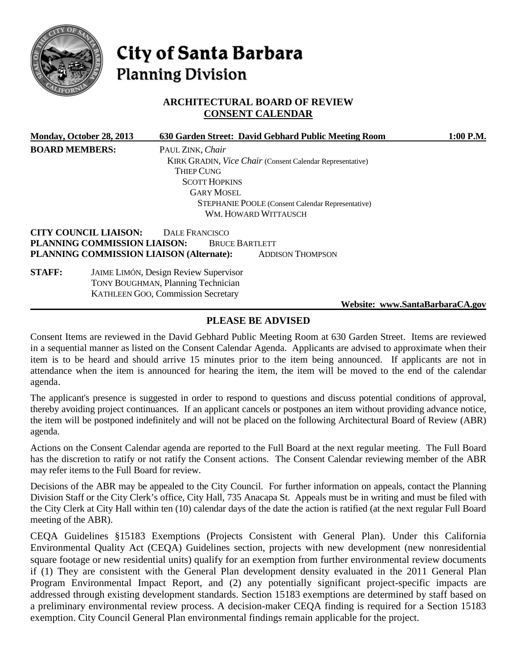

# City of Santa Barbara **Planning Division**

# **ARCHITECTURAL BOARD OF REVIEW CONSENT CALENDAR**

|                       | Monday, October 28, 2013                                     |                                                                                                                                        | 630 Garden Street: David Gebhard Public Meeting Room             | $1:00$ P.M.                     |
|-----------------------|--------------------------------------------------------------|----------------------------------------------------------------------------------------------------------------------------------------|------------------------------------------------------------------|---------------------------------|
| <b>BOARD MEMBERS:</b> |                                                              | PAUL ZINK, Chair                                                                                                                       |                                                                  |                                 |
|                       |                                                              |                                                                                                                                        | <b>KIRK GRADIN, Vice Chair (Consent Calendar Representative)</b> |                                 |
|                       |                                                              | <b>THIEP CUNG</b>                                                                                                                      |                                                                  |                                 |
|                       |                                                              | <b>SCOTT HOPKINS</b>                                                                                                                   |                                                                  |                                 |
|                       |                                                              | <b>GARY MOSEL</b>                                                                                                                      |                                                                  |                                 |
|                       |                                                              |                                                                                                                                        | <b>STEPHANIE POOLE</b> (Consent Calendar Representative)         |                                 |
|                       |                                                              |                                                                                                                                        | WM. HOWARD WITTAUSCH                                             |                                 |
|                       | <b>CITY COUNCIL LIAISON:</b><br>PLANNING COMMISSION LIAISON: | DALE FRANCISCO<br><b>BRUCE BARTLETT</b><br>PLANNING COMMISSION LIAISON (Alternate):                                                    | <b>ADDISON THOMPSON</b>                                          |                                 |
| <b>STAFF:</b>         |                                                              | <b>JAIME LIMÓN, Design Review Supervisor</b><br><b>TONY BOUGHMAN, Planning Technician</b><br><b>KATHLEEN GOO, Commission Secretary</b> |                                                                  |                                 |
|                       |                                                              |                                                                                                                                        |                                                                  | Website: www.SantaBarbaraCA.gov |

# **PLEASE BE ADVISED**

Consent Items are reviewed in the David Gebhard Public Meeting Room at 630 Garden Street. Items are reviewed in a sequential manner as listed on the Consent Calendar Agenda. Applicants are advised to approximate when their item is to be heard and should arrive 15 minutes prior to the item being announced. If applicants are not in attendance when the item is announced for hearing the item, the item will be moved to the end of the calendar agenda.

The applicant's presence is suggested in order to respond to questions and discuss potential conditions of approval, thereby avoiding project continuances. If an applicant cancels or postpones an item without providing advance notice, the item will be postponed indefinitely and will not be placed on the following Architectural Board of Review (ABR) agenda.

Actions on the Consent Calendar agenda are reported to the Full Board at the next regular meeting. The Full Board has the discretion to ratify or not ratify the Consent actions. The Consent Calendar reviewing member of the ABR may refer items to the Full Board for review.

Decisions of the ABR may be appealed to the City Council. For further information on appeals, contact the Planning Division Staff or the City Clerk's office, City Hall, 735 Anacapa St. Appeals must be in writing and must be filed with the City Clerk at City Hall within ten (10) calendar days of the date the action is ratified (at the next regular Full Board meeting of the ABR).

CEQA Guidelines §15183 Exemptions (Projects Consistent with General Plan). Under this California Environmental Quality Act (CEQA) Guidelines section, projects with new development (new nonresidential square footage or new residential units) qualify for an exemption from further environmental review documents if (1) They are consistent with the General Plan development density evaluated in the 2011 General Plan Program Environmental Impact Report, and (2) any potentially significant project-specific impacts are addressed through existing development standards. Section 15183 exemptions are determined by staff based on a preliminary environmental review process. A decision-maker CEQA finding is required for a Section 15183 exemption. City Council General Plan environmental findings remain applicable for the project.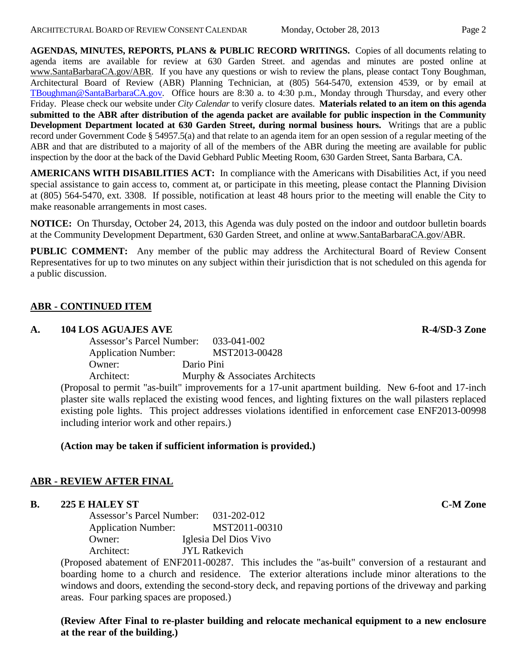**AGENDAS, MINUTES, REPORTS, PLANS & PUBLIC RECORD WRITINGS.** Copies of all documents relating to agenda items are available for review at 630 Garden Street. and agendas and minutes are posted online at [www.SantaBarbaraCA.gov/ABR.](http://www.santabarbaraca.gov/ABR) If you have any questions or wish to review the plans, please contact Tony Boughman, Architectural Board of Review (ABR) Planning Technician, at (805) 564-5470, extension 4539, or by email at [TBoughman@SantaBarbaraCA.gov.](mailto:TBoughman@SantaBarbaraCA.gov) Office hours are 8:30 a. to 4:30 p.m., Monday through Thursday, and every other Friday. Please check our website under *City Calendar* to verify closure dates. **Materials related to an item on this agenda submitted to the ABR after distribution of the agenda packet are available for public inspection in the Community Development Department located at 630 Garden Street, during normal business hours.** Writings that are a public record under Government Code § 54957.5(a) and that relate to an agenda item for an open session of a regular meeting of the ABR and that are distributed to a majority of all of the members of the ABR during the meeting are available for public inspection by the door at the back of the David Gebhard Public Meeting Room, 630 Garden Street, Santa Barbara, CA.

**AMERICANS WITH DISABILITIES ACT:** In compliance with the Americans with Disabilities Act, if you need special assistance to gain access to, comment at, or participate in this meeting, please contact the Planning Division at (805) 564-5470, ext. 3308. If possible, notification at least 48 hours prior to the meeting will enable the City to make reasonable arrangements in most cases.

**NOTICE:** On Thursday, October 24, 2013, this Agenda was duly posted on the indoor and outdoor bulletin boards at the Community Development Department, 630 Garden Street, and online at [www.SantaBarbaraCA.gov/ABR.](http://www.santabarbaraca.gov/ABR)

**PUBLIC COMMENT:** Any member of the public may address the Architectural Board of Review Consent Representatives for up to two minutes on any subject within their jurisdiction that is not scheduled on this agenda for a public discussion.

## **ABR - CONTINUED ITEM**

#### **A. 104 LOS AGUAJES AVE R-4/SD-3 Zone**

| Assessor's Parcel Number:  | 033-041-002                    |  |
|----------------------------|--------------------------------|--|
| <b>Application Number:</b> | MST2013-00428                  |  |
| Owner:                     | Dario Pini                     |  |
| Architect:                 | Murphy & Associates Architects |  |
|                            |                                |  |

(Proposal to permit "as-built" improvements for a 17-unit apartment building. New 6-foot and 17-inch plaster site walls replaced the existing wood fences, and lighting fixtures on the wall pilasters replaced existing pole lights. This project addresses violations identified in enforcement case ENF2013-00998 including interior work and other repairs.)

# **(Action may be taken if sufficient information is provided.)**

#### **ABR - REVIEW AFTER FINAL**

## **B. 225 E HALEY ST C-M Zone**

Assessor's Parcel Number: 031-202-012 Application Number: MST2011-00310 Owner: Iglesia Del Dios Vivo Architect: JYL Ratkevich

(Proposed abatement of ENF2011-00287. This includes the "as-built" conversion of a restaurant and boarding home to a church and residence. The exterior alterations include minor alterations to the windows and doors, extending the second-story deck, and repaving portions of the driveway and parking areas. Four parking spaces are proposed.)

**(Review After Final to re-plaster building and relocate mechanical equipment to a new enclosure at the rear of the building.)**